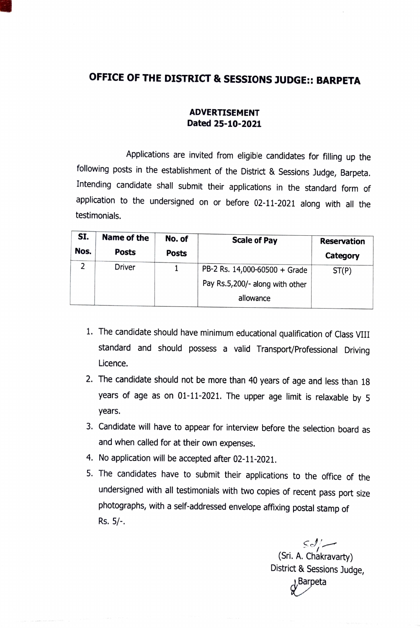## OFFICE OF THE DISTRICT & SESSIONS JUDGE:: BARPETA

## ADVERTISEMENT Dated 25-10-2021

Applications are invited from eligible candidates for filling up the following posts in the establishment of the District & Sessions Judge, Barpeta. Intending candidate shall submit their applications in the standard form of application to the undersigned on or before 02-11-2021 along with all the testimonials.

| SI.  | Name of the  | No. of       | <b>Scale of Pay</b>             | <b>Reservation</b> |
|------|--------------|--------------|---------------------------------|--------------------|
| Nos. | <b>Posts</b> | <b>Posts</b> |                                 | Category           |
| ר    | Driver       |              | PB-2 Rs. 14,000-60500 + Grade   | ST(P)              |
|      |              |              | Pay Rs.5,200/- along with other |                    |
|      |              |              | allowance                       |                    |

- 1. The candidate should have minimum educational qualification of Class VIII standard and should possess a valid Transport/Professional Driving Licence.
- 2. The candidate should not be more than 40 years of age and less than 18 years of age as on 01-11-2021. The upper age limit is relaxable by 5 years.
- 3. Candidate will have to appear for interview before the selection board as and when called for at their own expenses.
- 4. No application will be accepted after 02-11-2021.
- 5. The candidates have to submit their applications to the office of the undersigned with all testimonials with two copies of recent pass port size photographs, with a self-addressed envelope affixing postal stamp of Rs. 5/.

 $\leq$   $\frac{1}{2}$  (Sri. A. Chakravarty) District & Sessions Judge,  $\lambda^{\text{Barpeta}}$